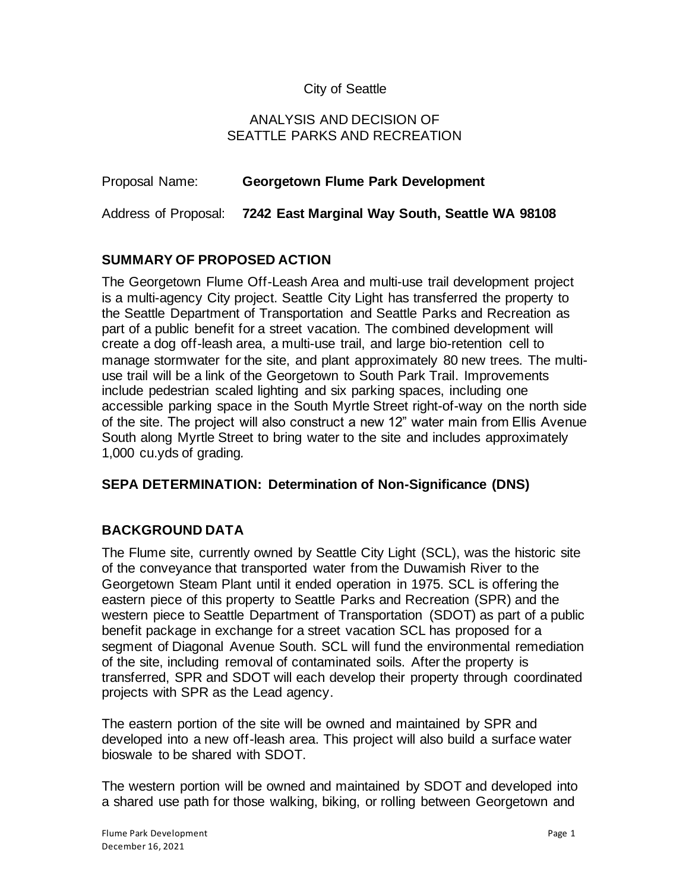## City of Seattle

### ANALYSIS AND DECISION OF SEATTLE PARKS AND RECREATION

| Proposal Name: | <b>Georgetown Flume Park Development</b>                            |
|----------------|---------------------------------------------------------------------|
|                | Address of Proposal: 7242 East Marginal Way South, Seattle WA 98108 |

## **SUMMARY OF PROPOSED ACTION**

The Georgetown Flume Off-Leash Area and multi-use trail development project is a multi-agency City project. Seattle City Light has transferred the property to the Seattle Department of Transportation and Seattle Parks and Recreation as part of a public benefit for a street vacation. The combined development will create a dog off-leash area, a multi-use trail, and large bio-retention cell to manage stormwater for the site, and plant approximately 80 new trees. The multiuse trail will be a link of the Georgetown to South Park Trail. Improvements include pedestrian scaled lighting and six parking spaces, including one accessible parking space in the South Myrtle Street right-of-way on the north side of the site. The project will also construct a new 12" water main from Ellis Avenue South along Myrtle Street to bring water to the site and includes approximately 1,000 cu.yds of grading*.*

#### **SEPA DETERMINATION: Determination of Non-Significance (DNS)**

# **BACKGROUND DATA**

The Flume site, currently owned by Seattle City Light (SCL), was the historic site of the conveyance that transported water from the Duwamish River to the Georgetown Steam Plant until it ended operation in 1975. SCL is offering the eastern piece of this property to Seattle Parks and Recreation (SPR) and the western piece to Seattle Department of Transportation (SDOT) as part of a public benefit package in exchange for a street vacation SCL has proposed for a segment of Diagonal Avenue South. SCL will fund the environmental remediation of the site, including removal of contaminated soils. After the property is transferred, SPR and SDOT will each develop their property through coordinated projects with SPR as the Lead agency.

The eastern portion of the site will be owned and maintained by SPR and developed into a new off-leash area. This project will also build a surface water bioswale to be shared with SDOT.

The western portion will be owned and maintained by SDOT and developed into a shared use path for those walking, biking, or rolling between Georgetown and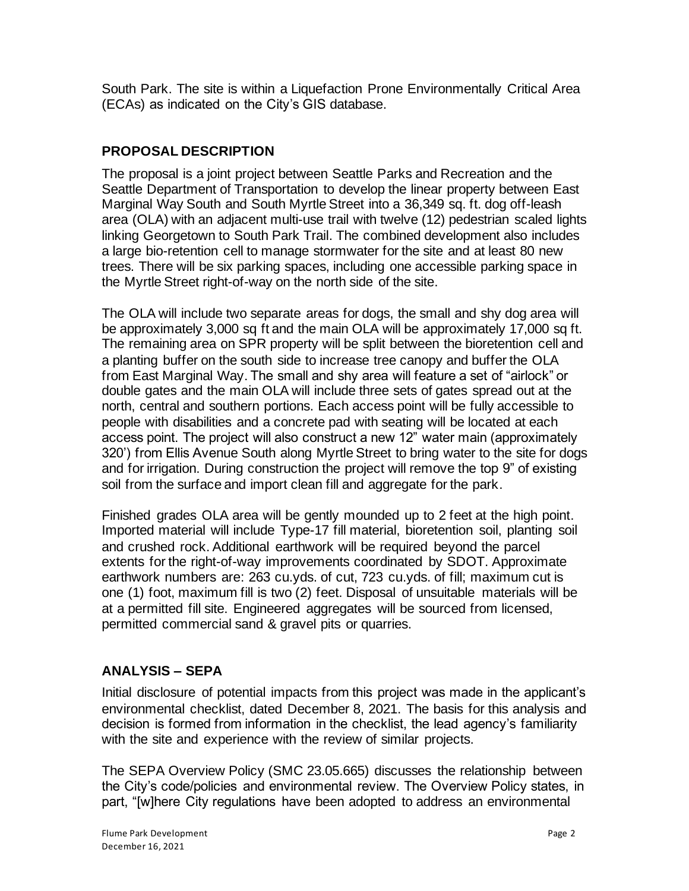South Park. The site is within a Liquefaction Prone Environmentally Critical Area (ECAs) as indicated on the City's GIS database.

# **PROPOSAL DESCRIPTION**

The proposal is a joint project between Seattle Parks and Recreation and the Seattle Department of Transportation to develop the linear property between East Marginal Way South and South Myrtle Street into a 36,349 sq. ft. dog off-leash area (OLA) with an adjacent multi-use trail with twelve (12) pedestrian scaled lights linking Georgetown to South Park Trail. The combined development also includes a large bio-retention cell to manage stormwater for the site and at least 80 new trees. There will be six parking spaces, including one accessible parking space in the Myrtle Street right-of-way on the north side of the site.

The OLA will include two separate areas for dogs, the small and shy dog area will be approximately 3,000 sq ft and the main OLA will be approximately 17,000 sq ft. The remaining area on SPR property will be split between the bioretention cell and a planting buffer on the south side to increase tree canopy and buffer the OLA from East Marginal Way. The small and shy area will feature a set of "airlock" or double gates and the main OLA will include three sets of gates spread out at the north, central and southern portions. Each access point will be fully accessible to people with disabilities and a concrete pad with seating will be located at each access point. The project will also construct a new 12" water main (approximately 320') from Ellis Avenue South along Myrtle Street to bring water to the site for dogs and for irrigation. During construction the project will remove the top 9" of existing soil from the surface and import clean fill and aggregate for the park.

Finished grades OLA area will be gently mounded up to 2 feet at the high point. Imported material will include Type-17 fill material, bioretention soil, planting soil and crushed rock. Additional earthwork will be required beyond the parcel extents for the right-of-way improvements coordinated by SDOT. Approximate earthwork numbers are: 263 cu.yds. of cut, 723 cu.yds. of fill; maximum cut is one (1) foot, maximum fill is two (2) feet. Disposal of unsuitable materials will be at a permitted fill site. Engineered aggregates will be sourced from licensed, permitted commercial sand & gravel pits or quarries.

# **ANALYSIS – SEPA**

Initial disclosure of potential impacts from this project was made in the applicant's environmental checklist, dated December 8, 2021. The basis for this analysis and decision is formed from information in the checklist, the lead agency's familiarity with the site and experience with the review of similar projects.

The SEPA Overview Policy (SMC 23.05.665) discusses the relationship between the City's code/policies and environmental review. The Overview Policy states, in part, "[w]here City regulations have been adopted to address an environmental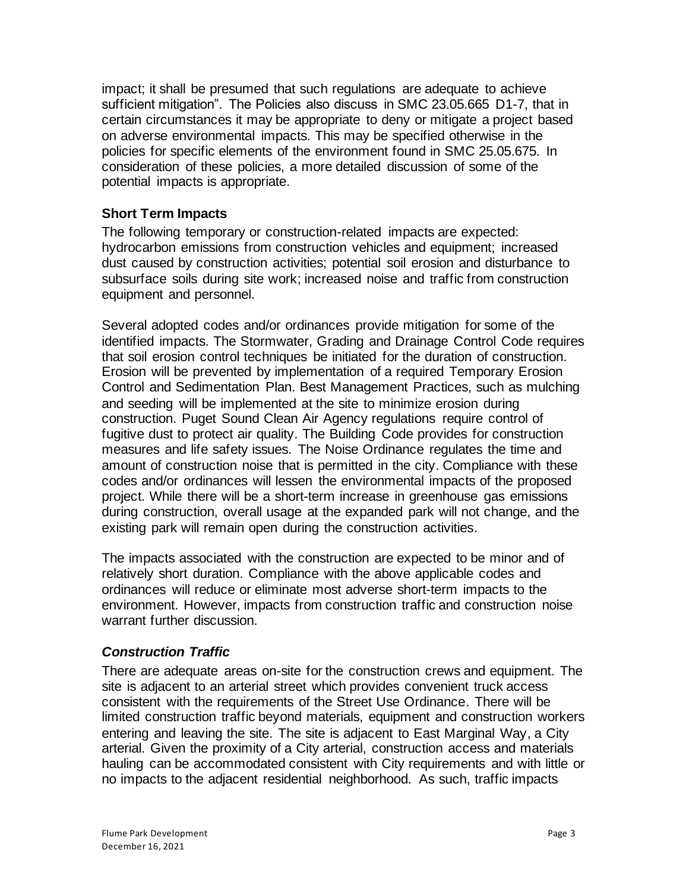impact; it shall be presumed that such regulations are adequate to achieve sufficient mitigation". The Policies also discuss in SMC 23.05.665 D1-7, that in certain circumstances it may be appropriate to deny or mitigate a project based on adverse environmental impacts. This may be specified otherwise in the policies for specific elements of the environment found in SMC 25.05.675. In consideration of these policies, a more detailed discussion of some of the potential impacts is appropriate.

# **Short Term Impacts**

The following temporary or construction-related impacts are expected: hydrocarbon emissions from construction vehicles and equipment; increased dust caused by construction activities; potential soil erosion and disturbance to subsurface soils during site work; increased noise and traffic from construction equipment and personnel.

Several adopted codes and/or ordinances provide mitigation for some of the identified impacts. The Stormwater, Grading and Drainage Control Code requires that soil erosion control techniques be initiated for the duration of construction. Erosion will be prevented by implementation of a required Temporary Erosion Control and Sedimentation Plan. Best Management Practices, such as mulching and seeding will be implemented at the site to minimize erosion during construction. Puget Sound Clean Air Agency regulations require control of fugitive dust to protect air quality. The Building Code provides for construction measures and life safety issues. The Noise Ordinance regulates the time and amount of construction noise that is permitted in the city. Compliance with these codes and/or ordinances will lessen the environmental impacts of the proposed project. While there will be a short-term increase in greenhouse gas emissions during construction, overall usage at the expanded park will not change, and the existing park will remain open during the construction activities.

The impacts associated with the construction are expected to be minor and of relatively short duration. Compliance with the above applicable codes and ordinances will reduce or eliminate most adverse short-term impacts to the environment. However, impacts from construction traffic and construction noise warrant further discussion.

#### *Construction Traffic*

There are adequate areas on-site for the construction crews and equipment. The site is adjacent to an arterial street which provides convenient truck access consistent with the requirements of the Street Use Ordinance. There will be limited construction traffic beyond materials, equipment and construction workers entering and leaving the site. The site is adjacent to East Marginal Way, a City arterial. Given the proximity of a City arterial, construction access and materials hauling can be accommodated consistent with City requirements and with little or no impacts to the adjacent residential neighborhood. As such, traffic impacts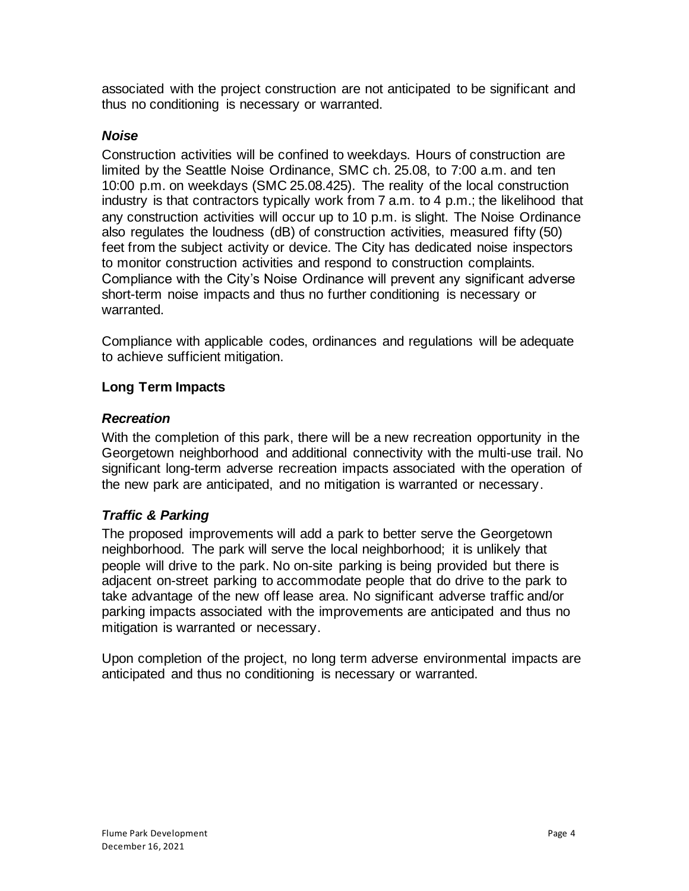associated with the project construction are not anticipated to be significant and thus no conditioning is necessary or warranted.

#### *Noise*

Construction activities will be confined to weekdays. Hours of construction are limited by the Seattle Noise Ordinance, SMC ch. 25.08, to 7:00 a.m. and ten 10:00 p.m. on weekdays (SMC 25.08.425). The reality of the local construction industry is that contractors typically work from 7 a.m. to 4 p.m.; the likelihood that any construction activities will occur up to 10 p.m. is slight. The Noise Ordinance also regulates the loudness (dB) of construction activities, measured fifty (50) feet from the subject activity or device. The City has dedicated noise inspectors to monitor construction activities and respond to construction complaints. Compliance with the City's Noise Ordinance will prevent any significant adverse short-term noise impacts and thus no further conditioning is necessary or warranted.

Compliance with applicable codes, ordinances and regulations will be adequate to achieve sufficient mitigation.

## **Long Term Impacts**

## *Recreation*

With the completion of this park, there will be a new recreation opportunity in the Georgetown neighborhood and additional connectivity with the multi-use trail. No significant long-term adverse recreation impacts associated with the operation of the new park are anticipated, and no mitigation is warranted or necessary.

# *Traffic & Parking*

The proposed improvements will add a park to better serve the Georgetown neighborhood. The park will serve the local neighborhood; it is unlikely that people will drive to the park. No on-site parking is being provided but there is adjacent on-street parking to accommodate people that do drive to the park to take advantage of the new off lease area. No significant adverse traffic and/or parking impacts associated with the improvements are anticipated and thus no mitigation is warranted or necessary.

Upon completion of the project, no long term adverse environmental impacts are anticipated and thus no conditioning is necessary or warranted.